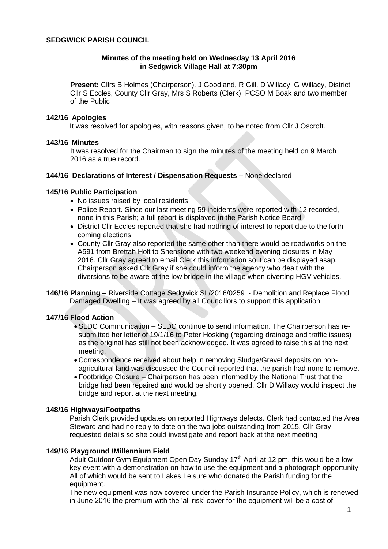### **SEDGWICK PARISH COUNCIL**

### **Minutes of the meeting held on Wednesday 13 April 2016 in Sedgwick Village Hall at 7:30pm**

**Present:** Cllrs B Holmes (Chairperson), J Goodland, R Gill, D Willacy, G Willacy, District Cllr S Eccles, County Cllr Gray, Mrs S Roberts (Clerk), PCSO M Boak and two member of the Public

#### **142/16 Apologies**

It was resolved for apologies, with reasons given, to be noted from Cllr J Oscroft.

#### **143/16 Minutes**

It was resolved for the Chairman to sign the minutes of the meeting held on 9 March 2016 as a true record.

## **144/16 Declarations of Interest / Dispensation Requests –** None declared

#### **145/16 Public Participation**

- No issues raised by local residents
- Police Report. Since our last meeting 59 incidents were reported with 12 recorded, none in this Parish; a full report is displayed in the Parish Notice Board.
- District Cllr Eccles reported that she had nothing of interest to report due to the forth coming elections.
- County Cllr Gray also reported the same other than there would be roadworks on the A591 from Brettah Holt to Shenstone with two weekend evening closures in May 2016. Cllr Gray agreed to email Clerk this information so it can be displayed asap. Chairperson asked Cllr Gray if she could inform the agency who dealt with the diversions to be aware of the low bridge in the village when diverting HGV vehicles.
- **146/16 Planning –** Riverside Cottage Sedgwick SL/2016/0259 Demolition and Replace Flood Damaged Dwelling – It was agreed by all Councillors to support this application

# **147/16 Flood Action**

- SLDC Communication SLDC continue to send information. The Chairperson has resubmitted her letter of 19/1/16 to Peter Hosking (regarding drainage and traffic issues) as the original has still not been acknowledged. It was agreed to raise this at the next meeting.
- Correspondence received about help in removing Sludge/Gravel deposits on nonagricultural land was discussed the Council reported that the parish had none to remove.
- Footbridge Closure Chairperson has been informed by the National Trust that the bridge had been repaired and would be shortly opened. Cllr D Willacy would inspect the bridge and report at the next meeting.

### **148/16 Highways/Footpaths**

Parish Clerk provided updates on reported Highways defects. Clerk had contacted the Area Steward and had no reply to date on the two jobs outstanding from 2015. Cllr Gray requested details so she could investigate and report back at the next meeting

#### **149/16 Playground /Millennium Field**

Adult Outdoor Gym Equipment Open Day Sunday 17<sup>th</sup> April at 12 pm, this would be a low key event with a demonstration on how to use the equipment and a photograph opportunity. All of which would be sent to Lakes Leisure who donated the Parish funding for the equipment.

The new equipment was now covered under the Parish Insurance Policy, which is renewed in June 2016 the premium with the 'all risk' cover for the equipment will be a cost of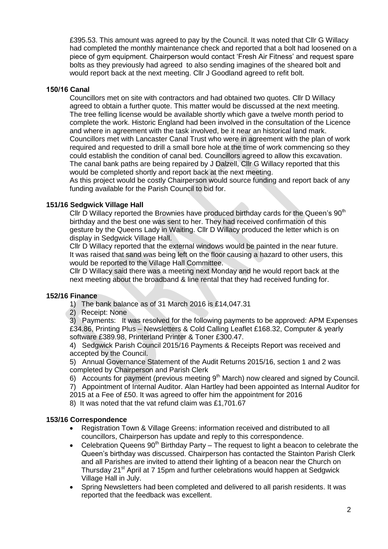£395.53. This amount was agreed to pay by the Council. It was noted that Cllr G Willacy had completed the monthly maintenance check and reported that a bolt had loosened on a piece of gym equipment. Chairperson would contact 'Fresh Air Fitness' and request spare bolts as they previously had agreed to also sending imagines of the sheared bolt and would report back at the next meeting. Cllr J Goodland agreed to refit bolt.

## **150/16 Canal**

Councillors met on site with contractors and had obtained two quotes. Cllr D Willacy agreed to obtain a further quote. This matter would be discussed at the next meeting. The tree felling license would be available shortly which gave a twelve month period to complete the work. Historic England had been involved in the consultation of the Licence and where in agreement with the task involved, be it near an historical land mark. Councillors met with Lancaster Canal Trust who were in agreement with the plan of work required and requested to drill a small bore hole at the time of work commencing so they could establish the condition of canal bed. Councillors agreed to allow this excavation. The canal bank paths are being repaired by J Dalzell, Cllr G Willacy reported that this would be completed shortly and report back at the next meeting.

As this project would be costly Chairperson would source funding and report back of any funding available for the Parish Council to bid for.

### **151/16 Sedgwick Village Hall**

Cllr D Willacy reported the Brownies have produced birthday cards for the Queen's 90<sup>th</sup> birthday and the best one was sent to her. They had received confirmation of this gesture by the Queens Lady in Waiting. Cllr D Willacy produced the letter which is on display in Sedgwick Village Hall.

Cllr D Willacy reported that the external windows would be painted in the near future. It was raised that sand was being left on the floor causing a hazard to other users, this would be reported to the Village Hall Committee.

Cllr D Willacy said there was a meeting next Monday and he would report back at the next meeting about the broadband & line rental that they had received funding for.

### **152/16 Finance**

1) The bank balance as of 31 March 2016 is £14,047.31

2) Receipt: None

3) Payments: It was resolved for the following payments to be approved: APM Expenses £34.86, Printing Plus – Newsletters & Cold Calling Leaflet £168.32, Computer & yearly software £389.98, Printerland Printer & Toner £300.47.

4) Sedgwick Parish Council 2015/16 Payments & Receipts Report was received and accepted by the Council.

5) Annual Governance Statement of the Audit Returns 2015/16, section 1 and 2 was completed by Chairperson and Parish Clerk

6) Accounts for payment (previous meeting  $9<sup>th</sup>$  March) now cleared and signed by Council.

7) Appointment of Internal Auditor. Alan Hartley had been appointed as Internal Auditor for

2015 at a Fee of £50. It was agreed to offer him the appointment for 2016

8) It was noted that the vat refund claim was £1,701.67

### **153/16 Correspondence**

- Registration Town & Village Greens: information received and distributed to all councillors, Chairperson has update and reply to this correspondence.
- Celebration Queens  $90<sup>th</sup>$  Birthday Party The request to light a beacon to celebrate the Queen's birthday was discussed. Chairperson has contacted the Stainton Parish Clerk and all Parishes are invited to attend their lighting of a beacon near the Church on Thursday 21<sup>st</sup> April at 7 15pm and further celebrations would happen at Sedgwick Village Hall in July.
- Spring Newsletters had been completed and delivered to all parish residents. It was reported that the feedback was excellent.